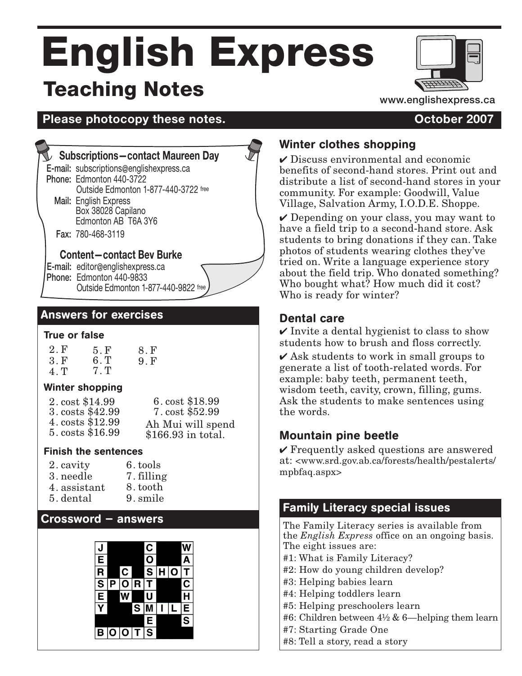# English Express Teaching Notes



**Please photocopy these notes. Consumerse 2007** 

#### **Subscriptions—contact Maureen Day**

E-mail: subscriptions@englishexpress.ca

Phone: Edmonton 440-3722 Outside Edmonton 1-877-440-3722 free

Mail: English Express<br>Box 38028 Capilano Edmonton AB T6A 3Y6

Fax: 780-468-3119

#### **Content—contact Bev Burke**

E-mail: editor@englishexpress.ca<br>Phone: Edmonton 440-9833 Outside Edmonton 1-877-440-9822 free

#### Answers for exercises

#### True or false

2. F 3. F 4. T 5. F 6. T 7. T 8. F 9. F

#### Winter shopping

| 2. cost \$14.99  | 6. cost \$18.99    |
|------------------|--------------------|
| 3. costs \$42.99 | 7. cost \$52.99    |
| 4. costs \$12.99 | Ah Mui will spend  |
| 5. costs \$16.99 | \$166.93 in total. |

#### Finish the sentences

| 2. cavity    | 6. tools   |
|--------------|------------|
| 3. needle    | 7. filling |
| 4. assistant | 8. tooth   |
| 5. dental    | 9. smile   |

#### Crossword — answers



#### Winter clothes shopping

 $\checkmark$  Discuss environmental and economic benefits of second-hand stores. Print out and distribute a list of second-hand stores in your community. For example: Goodwill, Value Village, Salvation Army, I.O.D.E. Shoppe.

 $\vee$  Depending on your class, you may want to have a field trip to a second-hand store. Ask students to bring donations if they can. Take photos of students wearing clothes they've tried on. Write a language experience story about the field trip. Who donated something? Who bought what? How much did it cost? Who is ready for winter?

#### Dental care

 $\checkmark$  Invite a dental hygienist to class to show students how to brush and floss correctly.

 $\overline{\mathsf{4}}$  Ask students to work in small groups to generate a list of tooth-related words. For example: baby teeth, permanent teeth, wisdom teeth, cavity, crown, filling, gums. Ask the students to make sentences using the words.

#### Mountain pine beetle

 $\vee$  Frequently asked questions are answered at: <www.srd.gov.ab.ca/forests/health/pestalerts/ mpbfaq.aspx>

#### Family Literacy special issues

The Family Literacy series is available from the *English Express* office on an ongoing basis. The eight issues are:

- #1: What is Family Literacy?
- #2: How do young children develop?
- #3: Helping babies learn
- #4: Helping toddlers learn
- #5: Helping preschoolers learn
- #6: Children between  $4\frac{1}{2}$  & 6—helping them learn
- #7: Starting Grade One
- #8: Tell a story, read a story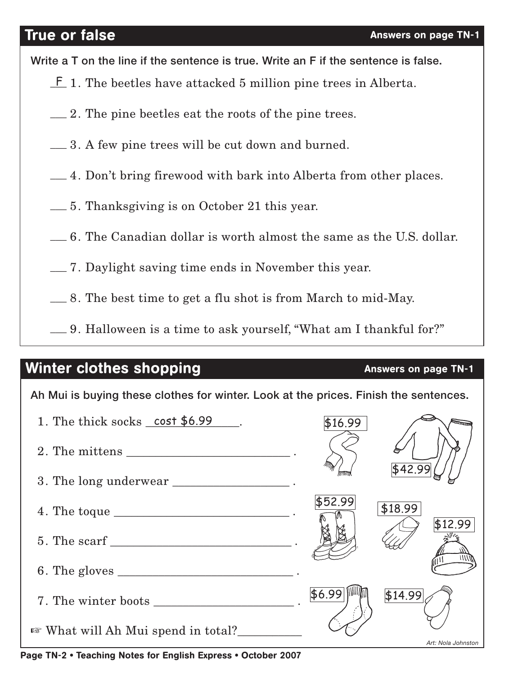### **True or false** Answers on page TN-1

Write a T on the line if the sentence is true. Write an F if the sentence is false.

- $E$  1. The beetles have attacked 5 million pine trees in Alberta.
- 2. The pine beetles eat the roots of the pine trees. \_\_\_
- 3. A few pine trees will be cut down and burned. \_\_\_
- 4. Don't bring firewood with bark into Alberta from other places. \_\_\_
- 5. Thanksgiving is on October 21 this year. \_\_\_
- 6. The Canadian dollar is worth almost the same as the U.S. dollar. \_\_\_
- 7. Daylight saving time ends in November this year. \_\_\_
- 8. The best time to get a flu shot is from March to mid-May. \_\_\_
- 9. Halloween is a time to ask yourself, "What am I thankful for?" \_\_\_

## Winter clothes shopping and the control of the Answers on page TN-1

Ah Mui is buying these clothes for winter. Look at the prices. Finish the sentences.

| \$42.99<br>3. The long underwear __________________.<br>\$52.99<br>\$18.99<br>\$12.99<br>6. The gloves |
|--------------------------------------------------------------------------------------------------------|
|                                                                                                        |
|                                                                                                        |
|                                                                                                        |
|                                                                                                        |
|                                                                                                        |
| \$6.99<br> \$14.99                                                                                     |
| <b>Example 18 What will Ah Mui spend in total?</b><br>Art: Nola Johnston                               |

Page TN-2 • Teaching Notes for English Express • October 2007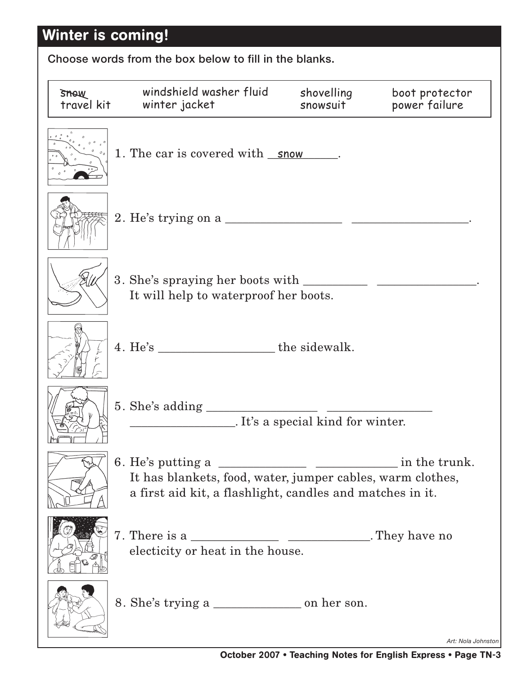# Winter is coming!

Choose words from the box below to fill in the blanks.

| SHOW<br>travel kit | windshield washer fluid<br>winter jacket                                                                                | shovelling<br>snowsuit | boot protector<br>power failure |
|--------------------|-------------------------------------------------------------------------------------------------------------------------|------------------------|---------------------------------|
|                    | 1. The car is covered with <u>snow</u> .                                                                                |                        |                                 |
|                    |                                                                                                                         |                        |                                 |
|                    | It will help to waterproof her boots.                                                                                   |                        |                                 |
|                    |                                                                                                                         |                        |                                 |
|                    | <i>It's a special kind for winter.</i>                                                                                  |                        |                                 |
|                    | It has blankets, food, water, jumper cables, warm clothes,<br>a first aid kit, a flashlight, candles and matches in it. |                        | in the trunk.                   |
|                    | electicity or heat in the house.                                                                                        |                        |                                 |
|                    |                                                                                                                         |                        | Art: Nola Johnston              |